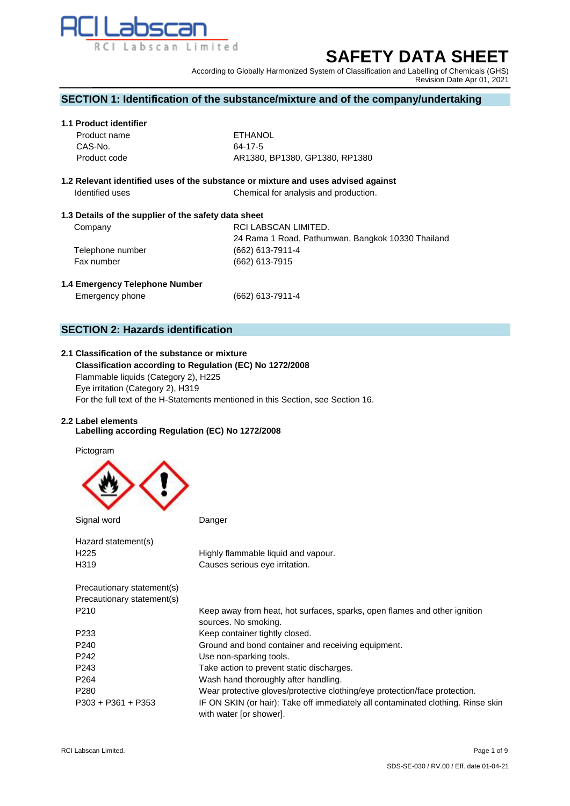

# **SAFETY DATA SHEET**

According to Globally Harmonized System of Classification and Labelling of Chemicals (GHS) Revision Date Apr 01, 2021

## **SECTION 1: Identification of the substance/mixture and of the company/undertaking**

## **1.1 Product identifier**

| Product name | ETHANOL                        |
|--------------|--------------------------------|
| CAS-No.      | 64-17-5                        |
| Product code | AR1380, BP1380, GP1380, RP1380 |

## **1.2 Relevant identified uses of the substance or mixture and uses advised against Identified uses** Chemical for analysis and production.

## **1.3 Details of the supplier of the safety data sheet**

| Company          | RCI LABSCAN LIMITED.                              |
|------------------|---------------------------------------------------|
|                  | 24 Rama 1 Road, Pathumwan, Bangkok 10330 Thailand |
| Telephone number | $(662)$ 613-7911-4                                |
| Fax number       | (662) 613-7915                                    |
|                  |                                                   |

## **1.4 Emergency Telephone Number**

Emergency phone (662) 613-7911-4

# **SECTION 2: Hazards identification**

# **2.1 Classification of the substance or mixture**

 **Classification according to Regulation (EC) No 1272/2008** Flammable liquids (Category 2), H225 Eye irritation (Category 2), H319 For the full text of the H-Statements mentioned in this Section, see Section 16.

## **2.2 Label elements**

## **Labelling according Regulation (EC) No 1272/2008**

Pictogram



| Signal word                | Danger                                                                                                      |
|----------------------------|-------------------------------------------------------------------------------------------------------------|
| Hazard statement(s)        |                                                                                                             |
| H <sub>225</sub>           | Highly flammable liquid and vapour.                                                                         |
| H319                       | Causes serious eye irritation.                                                                              |
| Precautionary statement(s) |                                                                                                             |
| Precautionary statement(s) |                                                                                                             |
| P210                       | Keep away from heat, hot surfaces, sparks, open flames and other ignition<br>sources. No smoking.           |
| P <sub>233</sub>           | Keep container tightly closed.                                                                              |
| P <sub>240</sub>           | Ground and bond container and receiving equipment.                                                          |
| P <sub>242</sub>           | Use non-sparking tools.                                                                                     |
| P <sub>243</sub>           | Take action to prevent static discharges.                                                                   |
| P <sub>264</sub>           | Wash hand thoroughly after handling.                                                                        |
| P <sub>280</sub>           | Wear protective gloves/protective clothing/eye protection/face protection.                                  |
| $P303 + P361 + P353$       | IF ON SKIN (or hair): Take off immediately all contaminated clothing. Rinse skin<br>with water [or shower]. |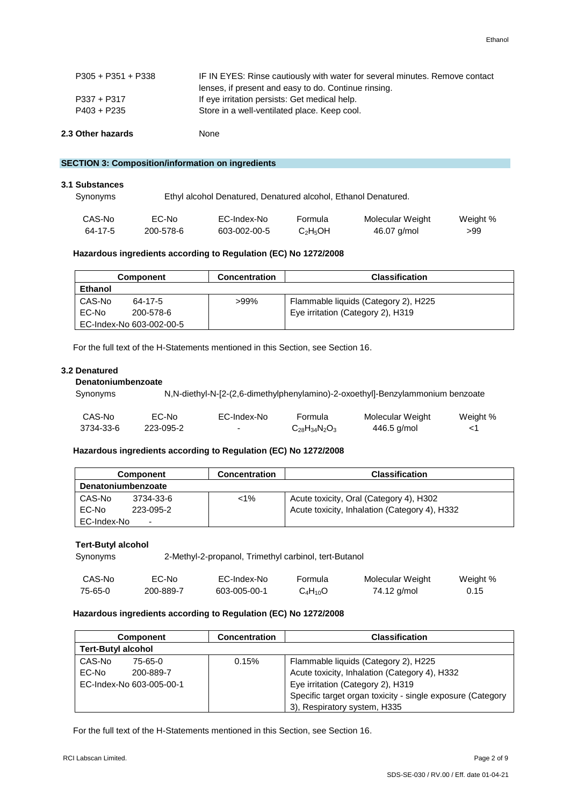| 2.3 Other hazards    | None                                                                                                                                |
|----------------------|-------------------------------------------------------------------------------------------------------------------------------------|
| P403 + P235          | Store in a well-ventilated place. Keep cool.                                                                                        |
| $P337 + P317$        | If eye irritation persists: Get medical help.                                                                                       |
| $P305 + P351 + P338$ | IF IN EYES: Rinse cautiously with water for several minutes. Remove contact<br>lenses, if present and easy to do. Continue rinsing. |
|                      |                                                                                                                                     |

## **SECTION 3: Composition/information on ingredients**

| 3.1 Substances<br>Synonyms |           | Ethyl alcohol Denatured, Denatured alcohol, Ethanol Denatured. |                                  |                  |          |
|----------------------------|-----------|----------------------------------------------------------------|----------------------------------|------------------|----------|
| CAS-No                     | EC-No     | EC-Index-No                                                    | Formula                          | Molecular Weight | Weight % |
| 64-17-5                    | 200-578-6 | 603-002-00-5                                                   | C <sub>2</sub> H <sub>5</sub> OH | 46.07 g/mol      | >99      |

## **Hazardous ingredients according to Regulation (EC) No 1272/2008**

| Component                | <b>Concentration</b> | <b>Classification</b>                |
|--------------------------|----------------------|--------------------------------------|
| <b>Ethanol</b>           |                      |                                      |
| CAS-No<br>64-17-5        | >99%                 | Flammable liquids (Category 2), H225 |
| EC-No<br>200-578-6       |                      | Eye irritation (Category 2), H319    |
| EC-Index-No 603-002-00-5 |                      |                                      |

For the full text of the H-Statements mentioned in this Section, see Section 16.

## **3.2 Denatured**

## **Denatoniumbenzoate**

Synonyms N,N-diethyl-N-[2-(2,6-dimethylphenylamino)-2-oxoethyl]-Benzylammonium benzoate

| CAS-No    | EC-No     | EC-Index-No | Formula              | Molecular Weight | Weight % |
|-----------|-----------|-------------|----------------------|------------------|----------|
| 3734-33-6 | 223-095-2 |             | $C_{28}H_{34}N_2O_3$ | 446.5 g/mol      |          |

## **Hazardous ingredients according to Regulation (EC) No 1272/2008**

|                    | <b>Component</b>         | <b>Concentration</b> | <b>Classification</b>                         |
|--------------------|--------------------------|----------------------|-----------------------------------------------|
| Denatoniumbenzoate |                          |                      |                                               |
| CAS-No             | 3734-33-6                | $<1\%$               | Acute toxicity, Oral (Category 4), H302       |
| EC-No              | 223-095-2                |                      | Acute toxicity, Inhalation (Category 4), H332 |
| EC-Index-No        | $\overline{\phantom{0}}$ |                      |                                               |

#### **Tert-Butyl alcohol**

Synonyms 2-Methyl-2-propanol, Trimethyl carbinol, tert-Butanol

| CAS-No  | EC-No     | EC-Index-No  | Formula      | Molecular Weight | Weight % |
|---------|-----------|--------------|--------------|------------------|----------|
| 75-65-0 | 200-889-7 | 603-005-00-1 | $C_4H_{10}O$ | 74.12 g/mol      | 0.15     |

## **Hazardous ingredients according to Regulation (EC) No 1272/2008**

|                           | <b>Component</b>         | <b>Concentration</b> | <b>Classification</b>                                      |
|---------------------------|--------------------------|----------------------|------------------------------------------------------------|
| <b>Tert-Butyl alcohol</b> |                          |                      |                                                            |
| CAS-No                    | 75-65-0                  | 0.15%                | Flammable liquids (Category 2), H225                       |
| EC-No                     | 200-889-7                |                      | Acute toxicity, Inhalation (Category 4), H332              |
|                           | EC-Index-No 603-005-00-1 |                      | Eye irritation (Category 2), H319                          |
|                           |                          |                      | Specific target organ toxicity - single exposure (Category |
|                           |                          |                      | 3), Respiratory system, H335                               |

For the full text of the H-Statements mentioned in this Section, see Section 16.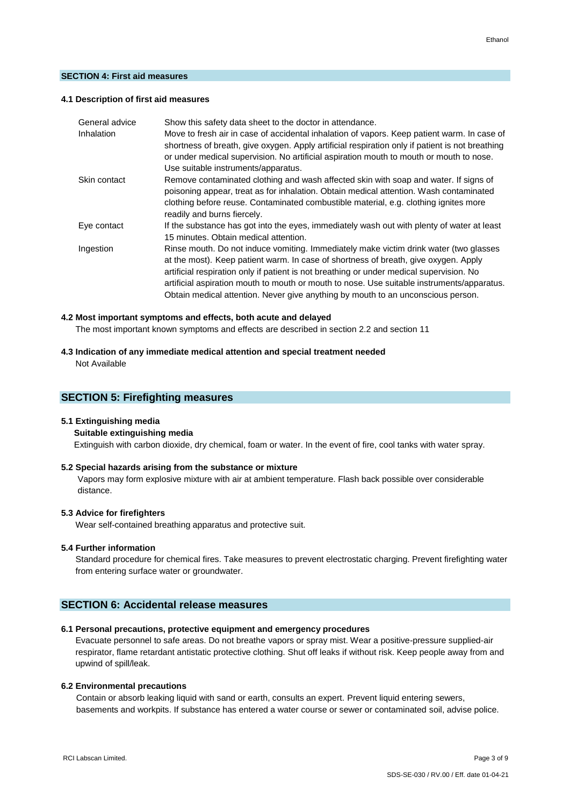#### **SECTION 4: First aid measures**

## **4.1 Description of first aid measures**

| General advice | Show this safety data sheet to the doctor in attendance.                                        |
|----------------|-------------------------------------------------------------------------------------------------|
| Inhalation     | Move to fresh air in case of accidental inhalation of vapors. Keep patient warm. In case of     |
|                | shortness of breath, give oxygen. Apply artificial respiration only if patient is not breathing |
|                | or under medical supervision. No artificial aspiration mouth to mouth or mouth to nose.         |
|                | Use suitable instruments/apparatus.                                                             |
| Skin contact   | Remove contaminated clothing and wash affected skin with soap and water. If signs of            |
|                | poisoning appear, treat as for inhalation. Obtain medical attention. Wash contaminated          |
|                | clothing before reuse. Contaminated combustible material, e.g. clothing ignites more            |
|                | readily and burns fiercely.                                                                     |
| Eye contact    | If the substance has got into the eyes, immediately wash out with plenty of water at least      |
|                | 15 minutes. Obtain medical attention.                                                           |
| Ingestion      | Rinse mouth. Do not induce vomiting. Immediately make victim drink water (two glasses           |
|                | at the most). Keep patient warm. In case of shortness of breath, give oxygen. Apply             |
|                | artificial respiration only if patient is not breathing or under medical supervision. No        |
|                | artificial aspiration mouth to mouth or mouth to nose. Use suitable instruments/apparatus.      |
|                | Obtain medical attention. Never give anything by mouth to an unconscious person.                |

#### **4.2 Most important symptoms and effects, both acute and delayed**

The most important known symptoms and effects are described in section 2.2 and section 11

# **4.3 Indication of any immediate medical attention and special treatment needed**

Not Available

## **SECTION 5: Firefighting measures**

#### **5.1 Extinguishing media**

#### **Suitable extinguishing media**

Extinguish with carbon dioxide, dry chemical, foam or water. In the event of fire, cool tanks with water spray.

#### **5.2 Special hazards arising from the substance or mixture**

Vapors may form explosive mixture with air at ambient temperature. Flash back possible over considerable distance.

## **5.3 Advice for firefighters**

Wear self-contained breathing apparatus and protective suit.

#### **5.4 Further information**

 Standard procedure for chemical fires. Take measures to prevent electrostatic charging. Prevent firefighting water from entering surface water or groundwater.

## **SECTION 6: Accidental release measures**

## **6.1 Personal precautions, protective equipment and emergency procedures**

Evacuate personnel to safe areas. Do not breathe vapors or spray mist. Wear a positive-pressure supplied-air respirator, flame retardant antistatic protective clothing. Shut off leaks if without risk. Keep people away from and upwind of spill/leak.

#### **6.2 Environmental precautions**

Contain or absorb leaking liquid with sand or earth, consults an expert. Prevent liquid entering sewers, basements and workpits. If substance has entered a water course or sewer or contaminated soil, advise police.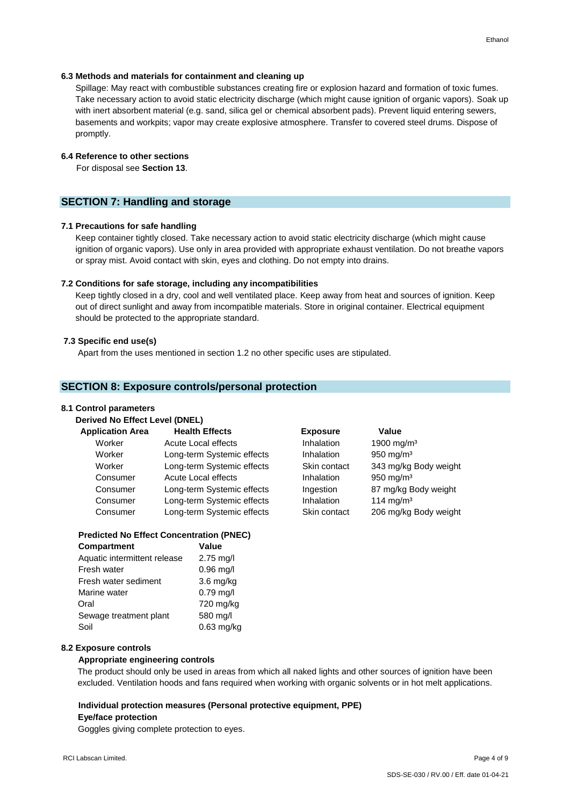#### **6.3 Methods and materials for containment and cleaning up**

Spillage: May react with combustible substances creating fire or explosion hazard and formation of toxic fumes. Take necessary action to avoid static electricity discharge (which might cause ignition of organic vapors). Soak up with inert absorbent material (e.g. sand, silica gel or chemical absorbent pads). Prevent liquid entering sewers, basements and workpits; vapor may create explosive atmosphere. Transfer to covered steel drums. Dispose of promptly.

## **6.4 Reference to other sections**

For disposal see **Section 13**.

## **SECTION 7: Handling and storage**

## **7.1 Precautions for safe handling**

 Keep container tightly closed. Take necessary action to avoid static electricity discharge (which might cause ignition of organic vapors). Use only in area provided with appropriate exhaust ventilation. Do not breathe vapors or spray mist. Avoid contact with skin, eyes and clothing. Do not empty into drains.

#### **7.2 Conditions for safe storage, including any incompatibilities**

Keep tightly closed in a dry, cool and well ventilated place. Keep away from heat and sources of ignition. Keep out of direct sunlight and away from incompatible materials. Store in original container. Electrical equipment should be protected to the appropriate standard.

## **7.3 Specific end use(s)**

Apart from the uses mentioned in section 1.2 no other specific uses are stipulated.

## **SECTION 8: Exposure controls/personal protection**

#### **8.1 Control parameters**

| <b>Application Area</b> | <b>Health Effects</b>      | <b>Exposure</b> | Value                  |
|-------------------------|----------------------------|-----------------|------------------------|
| Worker                  | Acute Local effects        | Inhalation      | 1900 mg/m <sup>3</sup> |
| Worker                  | Long-term Systemic effects | Inhalation      | 950 mg/m $3$           |
| Worker                  | Long-term Systemic effects | Skin contact    | 343 mg/kg Body weight  |
| Consumer                | Acute Local effects        | Inhalation      | 950 mg/m $3$           |
| Consumer                | Long-term Systemic effects | Ingestion       | 87 mg/kg Body weight   |
| Consumer                | Long-term Systemic effects | Inhalation      | 114 mg/m $3$           |
| Consumer                | Long-term Systemic effects | Skin contact    | 206 mg/kg Body weight  |

#### **Predicted No Effect Concentration (PNEC)**

| <b>Compartment</b>           | Value        |
|------------------------------|--------------|
| Aquatic intermittent release | $2.75$ mg/l  |
| Fresh water                  | $0.96$ mg/l  |
| Fresh water sediment         | $3.6$ mg/kg  |
| Marine water                 | $0.79$ mg/l  |
| Oral                         | 720 mg/kg    |
| Sewage treatment plant       | 580 mg/l     |
| Soil                         | $0.63$ mg/kg |
|                              |              |

## **8.2 Exposure controls**

## **Appropriate engineering controls**

The product should only be used in areas from which all naked lights and other sources of ignition have been excluded. Ventilation hoods and fans required when working with organic solvents or in hot melt applications.

#### **Individual protection measures (Personal protective equipment, PPE)**

#### **Eye/face protection**

Goggles giving complete protection to eyes.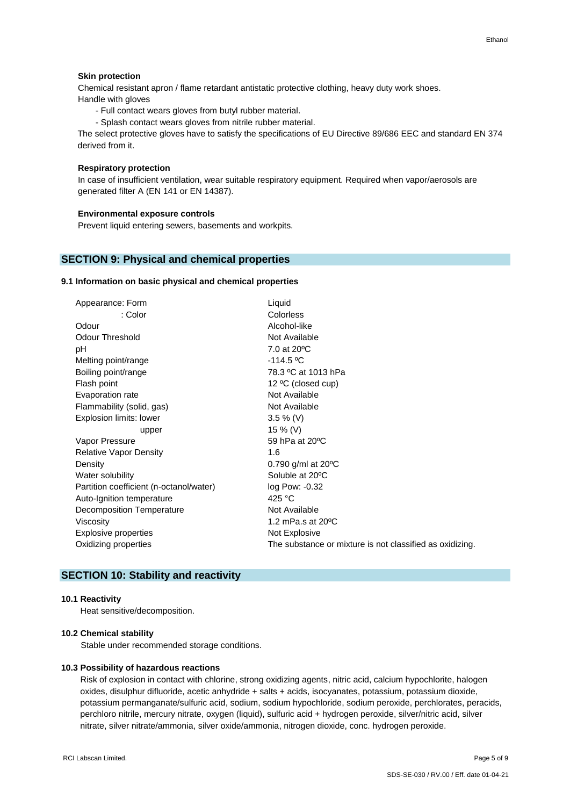## **Skin protection**

 Chemical resistant apron / flame retardant antistatic protective clothing, heavy duty work shoes. Handle with gloves

- Full contact wears gloves from butyl rubber material.
- Splash contact wears gloves from nitrile rubber material.

The select protective gloves have to satisfy the specifications of EU Directive 89/686 EEC and standard EN 374 derived from it.

## **Respiratory protection**

In case of insufficient ventilation, wear suitable respiratory equipment. Required when vapor/aerosols are generated filter A (EN 141 or EN 14387).

#### **Environmental exposure controls**

Prevent liquid entering sewers, basements and workpits.

## **SECTION 9: Physical and chemical properties**

## **9.1 Information on basic physical and chemical properties**

| Appearance: Form                        | Liquid                                                   |  |
|-----------------------------------------|----------------------------------------------------------|--|
| : Color                                 | <b>Colorless</b>                                         |  |
| Odour                                   | Alcohol-like                                             |  |
| <b>Odour Threshold</b>                  | Not Available                                            |  |
| рH                                      | 7.0 at 20 °C                                             |  |
| Melting point/range                     | $-114.5 °C$                                              |  |
| Boiling point/range                     | 78.3 °C at 1013 hPa                                      |  |
| Flash point                             | 12 °C (closed cup)                                       |  |
| Evaporation rate                        | Not Available                                            |  |
| Flammability (solid, gas)               | Not Available                                            |  |
| Explosion limits: lower                 | $3.5 \%$ (V)                                             |  |
| upper                                   | 15 % (V)                                                 |  |
| Vapor Pressure                          | 59 hPa at 20°C                                           |  |
| <b>Relative Vapor Density</b>           | 1.6                                                      |  |
| Density                                 | 0.790 g/ml at $20^{\circ}$ C                             |  |
| Water solubility                        | Soluble at 20°C                                          |  |
| Partition coefficient (n-octanol/water) | log Pow: -0.32                                           |  |
| Auto-Ignition temperature               | 425 $^{\circ}$ C                                         |  |
| Decomposition Temperature               | Not Available                                            |  |
| Viscosity                               | 1.2 mPa.s at $20^{\circ}$ C                              |  |
| Explosive properties                    | Not Explosive                                            |  |
| Oxidizing properties                    | The substance or mixture is not classified as oxidizing. |  |
|                                         |                                                          |  |

# **SECTION 10: Stability and reactivity**

## **10.1 Reactivity**

Heat sensitive/decomposition.

#### **10.2 Chemical stability**

Stable under recommended storage conditions.

#### **10.3 Possibility of hazardous reactions**

Risk of explosion in contact with chlorine, strong oxidizing agents, nitric acid, calcium hypochlorite, halogen oxides, disulphur difluoride, acetic anhydride + salts + acids, isocyanates, potassium, potassium dioxide, potassium permanganate/sulfuric acid, sodium, sodium hypochloride, sodium peroxide, perchlorates, peracids, perchloro nitrile, mercury nitrate, oxygen (liquid), sulfuric acid + hydrogen peroxide, silver/nitric acid, silver nitrate, silver nitrate/ammonia, silver oxide/ammonia, nitrogen dioxide, conc. hydrogen peroxide.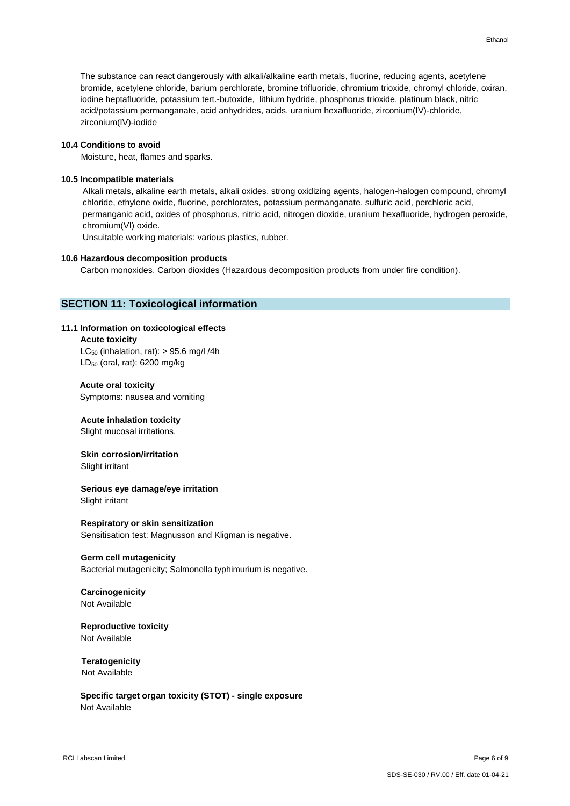The substance can react dangerously with alkali/alkaline earth metals, fluorine, reducing agents, acetylene bromide, acetylene chloride, barium perchlorate, bromine trifluoride, chromium trioxide, chromyl chloride, oxiran, iodine heptafluoride, potassium tert.-butoxide, lithium hydride, phosphorus trioxide, platinum black, nitric acid/potassium permanganate, acid anhydrides, acids, uranium hexafluoride, zirconium(IV)-chloride, zirconium(IV)-iodide

#### **10.4 Conditions to avoid**

Moisture, heat, flames and sparks.

#### **10.5 Incompatible materials**

Alkali metals, alkaline earth metals, alkali oxides, strong oxidizing agents, halogen-halogen compound, chromyl chloride, ethylene oxide, fluorine, perchlorates, potassium permanganate, sulfuric acid, perchloric acid, permanganic acid, oxides of phosphorus, nitric acid, nitrogen dioxide, uranium hexafluoride, hydrogen peroxide, chromium(VI) oxide.

Unsuitable working materials: various plastics, rubber.

#### **10.6 Hazardous decomposition products**

Carbon monoxides, Carbon dioxides (Hazardous decomposition products from under fire condition).

## **SECTION 11: Toxicological information**

#### **11.1 Information on toxicological effects**

## **Acute toxicity**

 $LC_{50}$  (inhalation, rat): > 95.6 mg/l /4h LD<sub>50</sub> (oral, rat): 6200 mg/kg

## **Acute oral toxicity**

Symptoms: nausea and vomiting

## **Acute inhalation toxicity**

Slight mucosal irritations.

# **Skin corrosion/irritation**

Slight irritant

# **Serious eye damage/eye irritation**

Slight irritant

## **Respiratory or skin sensitization**

Sensitisation test: Magnusson and Kligman is negative.

#### **Germ cell mutagenicity**

Bacterial mutagenicity; Salmonella typhimurium is negative.

## **Carcinogenicity** Not Available

**Reproductive toxicity** Not Available

# **Teratogenicity** Not Available

 **Specific target organ toxicity (STOT) - single exposure** Not Available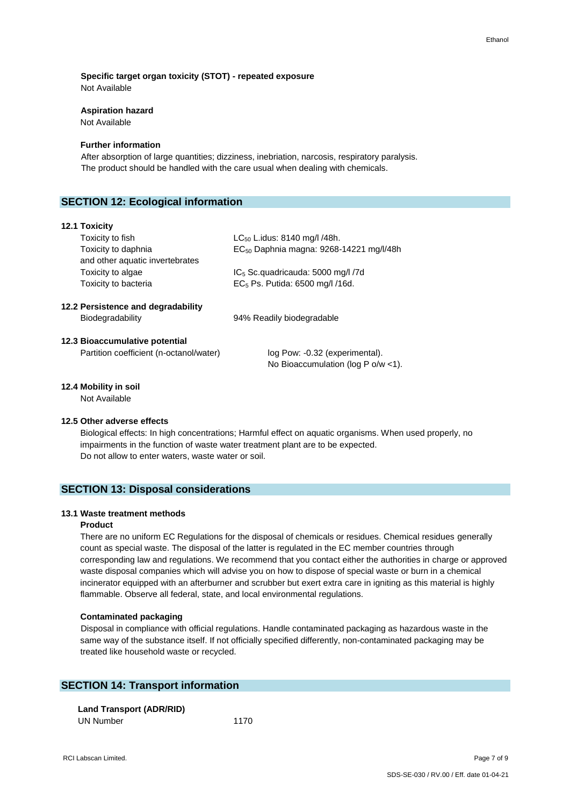# **Specific target organ toxicity (STOT) - repeated exposure**

Not Available

## **Aspiration hazard**

Not Available

## **Further information**

After absorption of large quantities; dizziness, inebriation, narcosis, respiratory paralysis. The product should be handled with the care usual when dealing with chemicals.

# **SECTION 12: Ecological information**

## **12.1 Toxicity**

| Toxicity to fish                   | $LC_{50}$ L.idus: 8140 mg/l /48h.                   |  |
|------------------------------------|-----------------------------------------------------|--|
| Toxicity to daphnia                | EC <sub>50</sub> Daphnia magna: 9268-14221 mg/l/48h |  |
| and other aquatic invertebrates    |                                                     |  |
| Toxicity to algae                  | IC <sub>5</sub> Sc.quadricauda: 5000 mg/l /7d       |  |
| Toxicity to bacteria               | $EC5$ Ps. Putida: 6500 mg/l /16d.                   |  |
| 12.2 Persistence and degradability |                                                     |  |
| Biodegradability                   | 94% Readily biodegradable                           |  |
| 12.3 Bioaccumulative potential     |                                                     |  |

## Partition coefficient (n-octanol/water) log Pow: -0.32 (experimental).

No Bioaccumulation (log P o/w <1).

## **12.4 Mobility in soil**

Not Available

## **12.5 Other adverse effects**

 Biological effects: In high concentrations; Harmful effect on aquatic organisms. When used properly, no impairments in the function of waste water treatment plant are to be expected. Do not allow to enter waters, waste water or soil.

## **SECTION 13: Disposal considerations**

## **13.1 Waste treatment methods**

## **Product**

 There are no uniform EC Regulations for the disposal of chemicals or residues. Chemical residues generally count as special waste. The disposal of the latter is regulated in the EC member countries through corresponding law and regulations. We recommend that you contact either the authorities in charge or approved waste disposal companies which will advise you on how to dispose of special waste or burn in a chemical incinerator equipped with an afterburner and scrubber but exert extra care in igniting as this material is highly flammable. Observe all federal, state, and local environmental regulations.

## **Contaminated packaging**

 Disposal in compliance with official regulations. Handle contaminated packaging as hazardous waste in the same way of the substance itself. If not officially specified differently, non-contaminated packaging may be treated like household waste or recycled.

## **SECTION 14: Transport information**

 **Land Transport (ADR/RID)**  UN Number 1170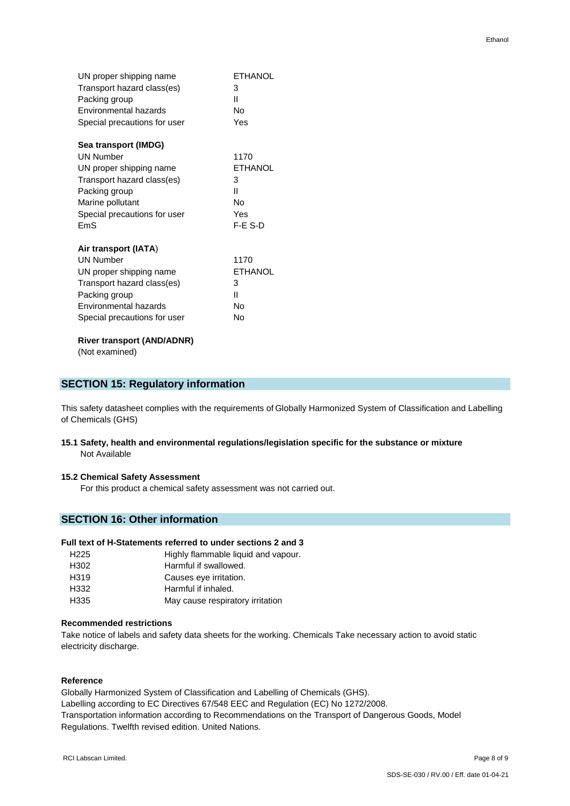| UN proper shipping name           | <b>ETHANOL</b> |
|-----------------------------------|----------------|
| Transport hazard class(es)        | 3              |
| Packing group                     | Ш              |
| Environmental hazards             | No             |
| Special precautions for user      | Yes            |
| Sea transport (IMDG)              |                |
| <b>UN Number</b>                  | 1170           |
| UN proper shipping name           | <b>ETHANOL</b> |
| Transport hazard class(es)        | 3              |
| Packing group                     | Ш              |
| Marine pollutant                  | No             |
| Special precautions for user      | Yes            |
| FmS                               | $F-F$ S-D      |
| Air transport (IATA)              |                |
| <b>UN Number</b>                  | 1170           |
| UN proper shipping name           | <b>ETHANOL</b> |
| Transport hazard class(es)        | 3              |
| Packing group                     | п              |
| Environmental hazards             | No             |
| Special precautions for user      | Nο             |
| <b>River transport (AND/ADNR)</b> |                |

(Not examined)

## **SECTION 15: Regulatory information**

This safety datasheet complies with the requirements of Globally Harmonized System of Classification and Labelling of Chemicals (GHS)

**15.1 Safety, health and environmental regulations/legislation specific for the substance or mixture** Not Available

## **15.2 Chemical Safety Assessment**

For this product a chemical safety assessment was not carried out.

# **SECTION 16: Other information**

## **Full text of H-Statements referred to under sections 2 and 3**

| H <sub>225</sub> | Highly flammable liquid and vapour. |
|------------------|-------------------------------------|
| H <sub>302</sub> | Harmful if swallowed.               |
| H <sub>319</sub> | Causes eye irritation.              |
| H332             | Harmful if inhaled.                 |
| H335             | May cause respiratory irritation    |
|                  |                                     |

## **Recommended restrictions**

Take notice of labels and safety data sheets for the working. Chemicals Take necessary action to avoid static electricity discharge.

## **Reference**

Globally Harmonized System of Classification and Labelling of Chemicals (GHS). Labelling according to EC Directives 67/548 EEC and Regulation (EC) No 1272/2008. Transportation information according to Recommendations on the Transport of Dangerous Goods, Model Regulations. Twelfth revised edition. United Nations.